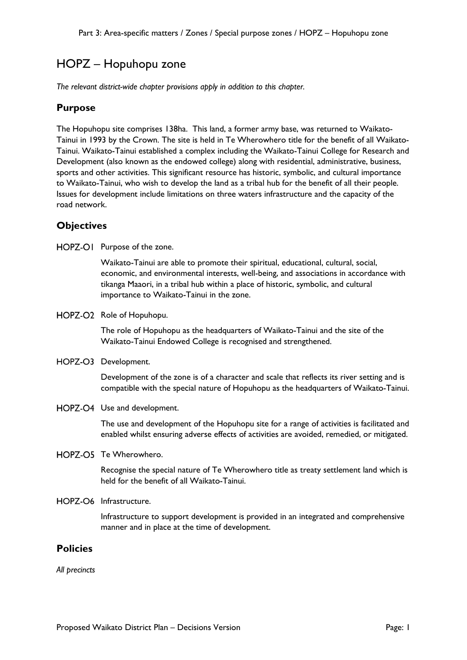# HOPZ – Hopuhopu zone

*The relevant district-wide chapter provisions apply in addition to this chapter.* 

## **Purpose**

The Hopuhopu site comprises 138ha. This land, a former army base, was returned to Waikato-Tainui in 1993 by the Crown. The site is held in Te Wherowhero title for the benefit of all Waikato-Tainui. Waikato-Tainui established a complex including the Waikato-Tainui College for Research and Development (also known as the endowed college) along with residential, administrative, business, sports and other activities. This significant resource has historic, symbolic, and cultural importance to Waikato-Tainui, who wish to develop the land as a tribal hub for the benefit of all their people. Issues for development include limitations on three waters infrastructure and the capacity of the road network.

# **Objectives**

HOPZ-OI Purpose of the zone.

Waikato-Tainui are able to promote their spiritual, educational, cultural, social, economic, and environmental interests, well-being, and associations in accordance with tikanga Maaori, in a tribal hub within a place of historic, symbolic, and cultural importance to Waikato-Tainui in the zone.

HOPZ-O2 Role of Hopuhopu.

The role of Hopuhopu as the headquarters of Waikato-Tainui and the site of the Waikato-Tainui Endowed College is recognised and strengthened.

HOPZ-O3 Development.

Development of the zone is of a character and scale that reflects its river setting and is compatible with the special nature of Hopuhopu as the headquarters of Waikato-Tainui.

#### HOPZ-O4 Use and development.

The use and development of the Hopuhopu site for a range of activities is facilitated and enabled whilst ensuring adverse effects of activities are avoided, remedied, or mitigated.

HOPZ-O5 Te Wherowhero.

Recognise the special nature of Te Wherowhero title as treaty settlement land which is held for the benefit of all Waikato-Tainui.

HOPZ-O6 Infrastructure.

Infrastructure to support development is provided in an integrated and comprehensive manner and in place at the time of development.

## **Policies**

*All precincts*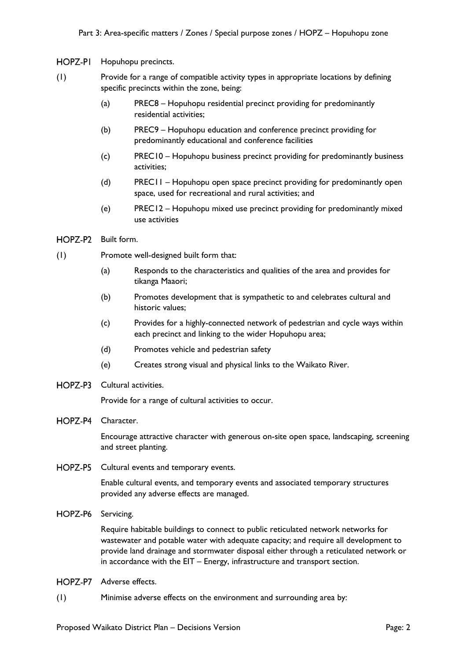HOPZ-PI Hopuhopu precincts.

- (1) Provide for a range of compatible activity types in appropriate locations by defining specific precincts within the zone, being:
	- (a) PREC8 Hopuhopu residential precinct providing for predominantly residential activities;
	- (b) PREC9 Hopuhopu education and conference precinct providing for predominantly educational and conference facilities
	- (c) PREC10 Hopuhopu business precinct providing for predominantly business activities;
	- (d) PREC11 Hopuhopu open space precinct providing for predominantly open space, used for recreational and rural activities; and
	- (e) PREC12 Hopuhopu mixed use precinct providing for predominantly mixed use activities
- HOPZ-P2 Built form.
- (1) Promote well-designed built form that:
	- (a) Responds to the characteristics and qualities of the area and provides for tikanga Maaori;
	- (b) Promotes development that is sympathetic to and celebrates cultural and historic values;
	- (c) Provides for a highly-connected network of pedestrian and cycle ways within each precinct and linking to the wider Hopuhopu area;
	- (d) Promotes vehicle and pedestrian safety
	- (e) Creates strong visual and physical links to the Waikato River.
- HOPZ-P3 Cultural activities.

Provide for a range of cultural activities to occur.

HOPZ-P4 Character.

Encourage attractive character with generous on-site open space, landscaping, screening and street planting.

HOPZ-P5 Cultural events and temporary events.

Enable cultural events, and temporary events and associated temporary structures provided any adverse effects are managed.

HOPZ-P6 Servicing.

Require habitable buildings to connect to public reticulated network networks for wastewater and potable water with adequate capacity; and require all development to provide land drainage and stormwater disposal either through a reticulated network or in accordance with the EIT – Energy, infrastructure and transport section.

- HOPZ-P7 Adverse effects.
- (1) Minimise adverse effects on the environment and surrounding area by: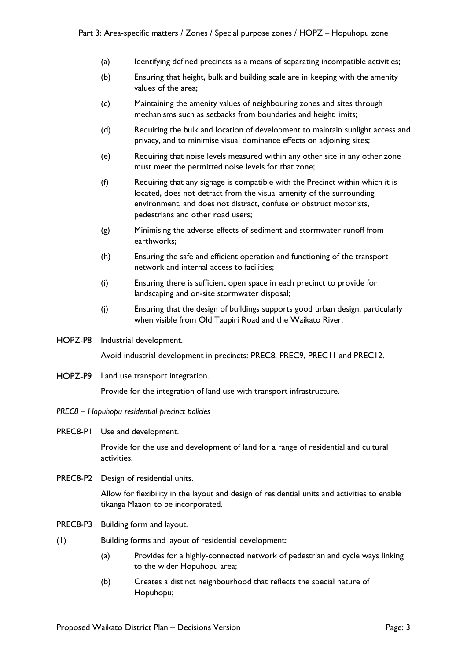- (a) Identifying defined precincts as a means of separating incompatible activities;
- (b) Ensuring that height, bulk and building scale are in keeping with the amenity values of the area;
- (c) Maintaining the amenity values of neighbouring zones and sites through mechanisms such as setbacks from boundaries and height limits;
- (d) Requiring the bulk and location of development to maintain sunlight access and privacy, and to minimise visual dominance effects on adjoining sites;
- (e) Requiring that noise levels measured within any other site in any other zone must meet the permitted noise levels for that zone;
- (f) Requiring that any signage is compatible with the Precinct within which it is located, does not detract from the visual amenity of the surrounding environment, and does not distract, confuse or obstruct motorists, pedestrians and other road users;
- (g) Minimising the adverse effects of sediment and stormwater runoff from earthworks;
- (h) Ensuring the safe and efficient operation and functioning of the transport network and internal access to facilities;
- (i) Ensuring there is sufficient open space in each precinct to provide for landscaping and on-site stormwater disposal;
- (j) Ensuring that the design of buildings supports good urban design, particularly when visible from Old Taupiri Road and the Waikato River.
- HOPZ-P8 Industrial development.

Avoid industrial development in precincts: PREC8, PREC9, PREC11 and PREC12.

HOPZ-P9 Land use transport integration.

Provide for the integration of land use with transport infrastructure.

- *PREC8 Hopuhopu residential precinct policies*
- PREC8-P1 Use and development.

Provide for the use and development of land for a range of residential and cultural activities.

PREC8-P2 Design of residential units.

Allow for flexibility in the layout and design of residential units and activities to enable tikanga Maaori to be incorporated.

- PREC8-P3 Building form and layout.
- (1) Building forms and layout of residential development:
	- (a) Provides for a highly-connected network of pedestrian and cycle ways linking to the wider Hopuhopu area;
	- (b) Creates a distinct neighbourhood that reflects the special nature of Hopuhopu;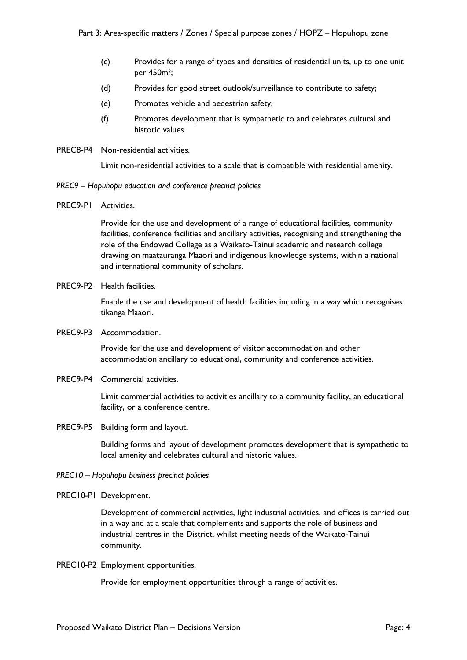- (c) Provides for a range of types and densities of residential units, up to one unit per 450m2;
- (d) Provides for good street outlook/surveillance to contribute to safety;
- (e) Promotes vehicle and pedestrian safety;
- (f) Promotes development that is sympathetic to and celebrates cultural and historic values.
- PREC8-P4 Non-residential activities.

Limit non-residential activities to a scale that is compatible with residential amenity.

- *PREC9 Hopuhopu education and conference precinct policies*
- PREC9-P1 Activities.

Provide for the use and development of a range of educational facilities, community facilities, conference facilities and ancillary activities, recognising and strengthening the role of the Endowed College as a Waikato-Tainui academic and research college drawing on maatauranga Maaori and indigenous knowledge systems, within a national and international community of scholars.

PREC9-P2 Health facilities.

Enable the use and development of health facilities including in a way which recognises tikanga Maaori.

PREC9-P3 Accommodation.

Provide for the use and development of visitor accommodation and other accommodation ancillary to educational, community and conference activities.

PREC9-P4 Commercial activities.

Limit commercial activities to activities ancillary to a community facility, an educational facility, or a conference centre.

PREC9-P5 Building form and layout.

Building forms and layout of development promotes development that is sympathetic to local amenity and celebrates cultural and historic values.

- *PREC10 Hopuhopu business precinct policies*
- PREC10-P1 Development.

Development of commercial activities, light industrial activities, and offices is carried out in a way and at a scale that complements and supports the role of business and industrial centres in the District, whilst meeting needs of the Waikato-Tainui community.

PREC10-P2 Employment opportunities.

Provide for employment opportunities through a range of activities.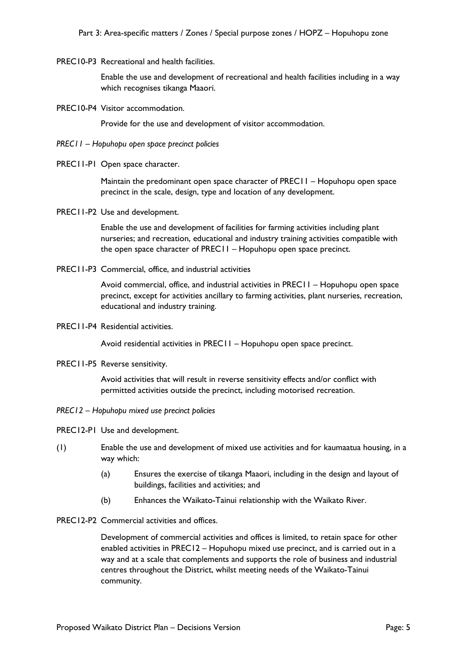PREC10-P3 Recreational and health facilities.

Enable the use and development of recreational and health facilities including in a way which recognises tikanga Maaori.

PREC10-P4 Visitor accommodation.

Provide for the use and development of visitor accommodation.

- *PREC11 Hopuhopu open space precinct policies*
- PREC11-P1 Open space character.

Maintain the predominant open space character of PREC11 – Hopuhopu open space precinct in the scale, design, type and location of any development.

PREC11-P2 Use and development.

Enable the use and development of facilities for farming activities including plant nurseries; and recreation, educational and industry training activities compatible with the open space character of PREC11 – Hopuhopu open space precinct.

PREC11-P3 Commercial, office, and industrial activities

Avoid commercial, office, and industrial activities in PREC11 – Hopuhopu open space precinct, except for activities ancillary to farming activities, plant nurseries, recreation, educational and industry training.

PREC11-P4 Residential activities.

Avoid residential activities in PREC11 – Hopuhopu open space precinct.

PREC11-P5 Reverse sensitivity.

Avoid activities that will result in reverse sensitivity effects and/or conflict with permitted activities outside the precinct, including motorised recreation.

- *PREC12 Hopuhopu mixed use precinct policies*
- PREC12-P1 Use and development.
- (1) Enable the use and development of mixed use activities and for kaumaatua housing, in a way which:
	- (a) Ensures the exercise of tikanga Maaori, including in the design and layout of buildings, facilities and activities; and
	- (b) Enhances the Waikato-Tainui relationship with the Waikato River.
- PREC12-P2 Commercial activities and offices.

Development of commercial activities and offices is limited, to retain space for other enabled activities in PREC12 – Hopuhopu mixed use precinct, and is carried out in a way and at a scale that complements and supports the role of business and industrial centres throughout the District, whilst meeting needs of the Waikato-Tainui community.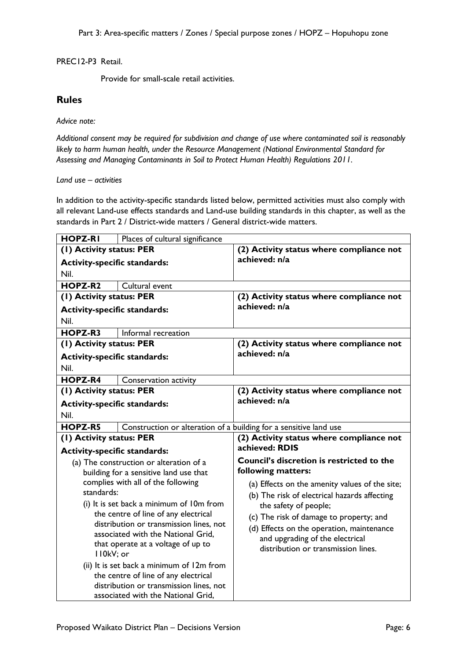PREC12-P3 Retail.

Provide for small-scale retail activities.

## **Rules**

*Advice note:* 

*Additional consent may be required for subdivision and change of use where contaminated soil is reasonably likely to harm human health, under the Resource Management (National Environmental Standard for Assessing and Managing Contaminants in Soil to Protect Human Health) Regulations 2011.*

*Land use – activities*

In addition to the activity-specific standards listed below, permitted activities must also comply with all relevant Land-use effects standards and Land-use building standards in this chapter, as well as the standards in Part 2 / District-wide matters / General district-wide matters.

| <b>HOPZ-RI</b>                      | Places of cultural significance                                                 |                                                |
|-------------------------------------|---------------------------------------------------------------------------------|------------------------------------------------|
| (1) Activity status: PER            |                                                                                 | (2) Activity status where compliance not       |
| <b>Activity-specific standards:</b> |                                                                                 | achieved: n/a                                  |
| Nil.                                |                                                                                 |                                                |
| HOPZ-R2                             | Cultural event                                                                  |                                                |
| (1) Activity status: PER            |                                                                                 | (2) Activity status where compliance not       |
| <b>Activity-specific standards:</b> |                                                                                 | achieved: n/a                                  |
| Nil.                                |                                                                                 |                                                |
| HOPZ-R3                             | Informal recreation                                                             |                                                |
| (1) Activity status: PER            |                                                                                 | (2) Activity status where compliance not       |
| <b>Activity-specific standards:</b> |                                                                                 | achieved: n/a                                  |
| Nil.                                |                                                                                 |                                                |
| HOPZ-R4                             | Conservation activity                                                           |                                                |
| (I) Activity status: PER            |                                                                                 | (2) Activity status where compliance not       |
| <b>Activity-specific standards:</b> |                                                                                 | achieved: n/a                                  |
| Nil.                                |                                                                                 |                                                |
| HOPZ-R5                             | Construction or alteration of a building for a sensitive land use               |                                                |
| (1) Activity status: PER            |                                                                                 | (2) Activity status where compliance not       |
| <b>Activity-specific standards:</b> |                                                                                 | achieved: RDIS                                 |
|                                     | (a) The construction or alteration of a                                         | Council's discretion is restricted to the      |
|                                     | building for a sensitive land use that                                          | following matters:                             |
|                                     | complies with all of the following                                              | (a) Effects on the amenity values of the site; |
| standards:                          |                                                                                 | (b) The risk of electrical hazards affecting   |
|                                     | (i) It is set back a minimum of 10m from                                        | the safety of people;                          |
|                                     | the centre of line of any electrical<br>distribution or transmission lines, not | (c) The risk of damage to property; and        |
|                                     | associated with the National Grid,                                              | (d) Effects on the operation, maintenance      |
|                                     | that operate at a voltage of up to                                              | and upgrading of the electrical                |
| II0kV; or                           |                                                                                 | distribution or transmission lines.            |
|                                     | (ii) It is set back a minimum of 12m from                                       |                                                |
|                                     | the centre of line of any electrical                                            |                                                |
|                                     | distribution or transmission lines, not                                         |                                                |
|                                     | associated with the National Grid,                                              |                                                |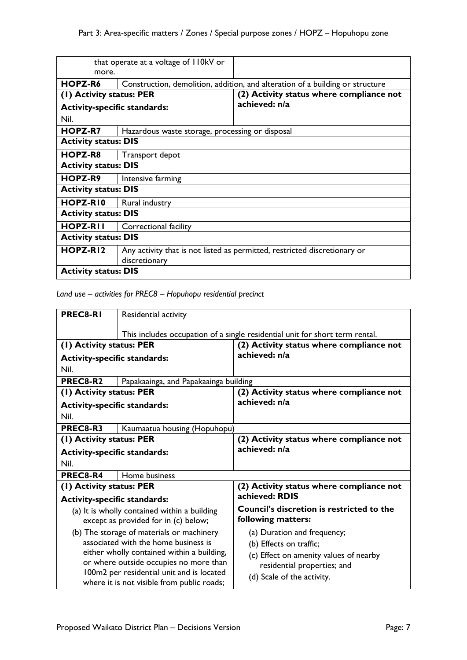| more.                               | that operate at a voltage of I IOkV or                                        |                                                                           |
|-------------------------------------|-------------------------------------------------------------------------------|---------------------------------------------------------------------------|
| HOPZ-R6                             | Construction, demolition, addition, and alteration of a building or structure |                                                                           |
| (1) Activity status: PER            |                                                                               | (2) Activity status where compliance not                                  |
| <b>Activity-specific standards:</b> |                                                                               | achieved: n/a                                                             |
| Nil.                                |                                                                               |                                                                           |
| <b>HOPZ-R7</b>                      | Hazardous waste storage, processing or disposal                               |                                                                           |
| <b>Activity status: DIS</b>         |                                                                               |                                                                           |
| HOPZ-R8                             | Transport depot                                                               |                                                                           |
| <b>Activity status: DIS</b>         |                                                                               |                                                                           |
| HOPZ-R9                             | Intensive farming                                                             |                                                                           |
| <b>Activity status: DIS</b>         |                                                                               |                                                                           |
| HOPZ-RI0                            | Rural industry                                                                |                                                                           |
| <b>Activity status: DIS</b>         |                                                                               |                                                                           |
| <b>HOPZ-RII</b>                     | Correctional facility                                                         |                                                                           |
| <b>Activity status: DIS</b>         |                                                                               |                                                                           |
| HOPZ-RI2                            |                                                                               | Any activity that is not listed as permitted, restricted discretionary or |
|                                     | discretionary                                                                 |                                                                           |
| <b>Activity status: DIS</b>         |                                                                               |                                                                           |

*Land use – activities for PREC8 – Hopuhopu residential precinct*

| PREC8-RI                            | Residential activity                                                                    |                                                                              |
|-------------------------------------|-----------------------------------------------------------------------------------------|------------------------------------------------------------------------------|
|                                     |                                                                                         |                                                                              |
|                                     |                                                                                         | This includes occupation of a single residential unit for short term rental. |
| (1) Activity status: PER            |                                                                                         | (2) Activity status where compliance not                                     |
| <b>Activity-specific standards:</b> |                                                                                         | achieved: n/a                                                                |
| Nil.                                |                                                                                         |                                                                              |
| PREC8-R2                            | Papakaainga, and Papakaainga building                                                   |                                                                              |
| (1) Activity status: PER            |                                                                                         | (2) Activity status where compliance not                                     |
| <b>Activity-specific standards:</b> |                                                                                         | achieved: n/a                                                                |
| Nil.                                |                                                                                         |                                                                              |
| PREC8-R3                            | Kaumaatua housing (Hopuhopu)                                                            |                                                                              |
| (1) Activity status: PER            |                                                                                         | (2) Activity status where compliance not                                     |
| <b>Activity-specific standards:</b> |                                                                                         | achieved: n/a                                                                |
|                                     |                                                                                         |                                                                              |
| Nil.                                |                                                                                         |                                                                              |
| PREC8-R4                            | Home business                                                                           |                                                                              |
| (1) Activity status: PER            |                                                                                         | (2) Activity status where compliance not                                     |
| <b>Activity-specific standards:</b> |                                                                                         | achieved: RDIS                                                               |
|                                     | (a) It is wholly contained within a building                                            | <b>Council's discretion is restricted to the</b>                             |
|                                     | except as provided for in (c) below;                                                    | following matters:                                                           |
|                                     | (b) The storage of materials or machinery                                               | (a) Duration and frequency;                                                  |
|                                     | associated with the home business is                                                    | (b) Effects on traffic;                                                      |
|                                     | either wholly contained within a building,                                              |                                                                              |
|                                     | or where outside occupies no more than                                                  | (c) Effect on amenity values of nearby                                       |
|                                     | 100m2 per residential unit and is located<br>where it is not visible from public roads; | residential properties; and<br>(d) Scale of the activity.                    |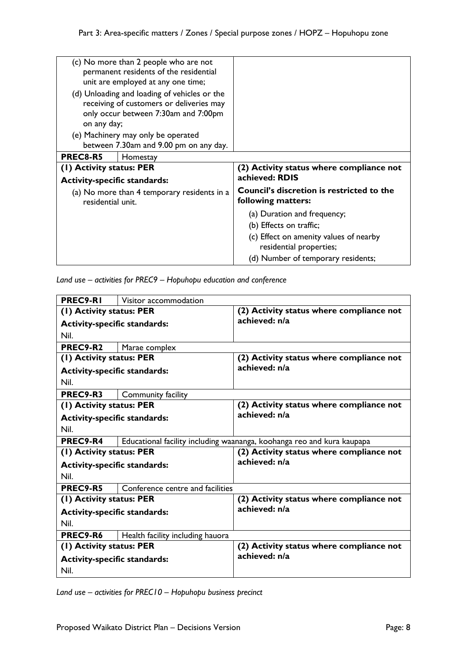| (c) No more than 2 people who are not<br>permanent residents of the residential<br>unit are employed at any one time;<br>(d) Unloading and loading of vehicles or the<br>receiving of customers or deliveries may<br>only occur between 7:30am and 7:00pm |                                                                        |
|-----------------------------------------------------------------------------------------------------------------------------------------------------------------------------------------------------------------------------------------------------------|------------------------------------------------------------------------|
| on any day;                                                                                                                                                                                                                                               |                                                                        |
| (e) Machinery may only be operated<br>between 7.30am and 9.00 pm on any day.                                                                                                                                                                              |                                                                        |
| <b>PREC8-R5</b><br>Homestay                                                                                                                                                                                                                               |                                                                        |
| (1) Activity status: PER                                                                                                                                                                                                                                  | (2) Activity status where compliance not                               |
| <b>Activity-specific standards:</b>                                                                                                                                                                                                                       | achieved: RDIS                                                         |
| (a) No more than 4 temporary residents in a<br>residential unit.                                                                                                                                                                                          | <b>Council's discretion is restricted to the</b><br>following matters: |
|                                                                                                                                                                                                                                                           | (a) Duration and frequency;                                            |
|                                                                                                                                                                                                                                                           | (b) Effects on traffic;                                                |
|                                                                                                                                                                                                                                                           | (c) Effect on amenity values of nearby<br>residential properties;      |
|                                                                                                                                                                                                                                                           | (d) Number of temporary residents;                                     |

*Land use – activities for PREC9 – Hopuhopu education and conference* 

| PREC9-RI                            | Visitor accommodation            |                                                                        |
|-------------------------------------|----------------------------------|------------------------------------------------------------------------|
| (1) Activity status: PER            |                                  | (2) Activity status where compliance not                               |
| <b>Activity-specific standards:</b> |                                  | achieved: n/a                                                          |
| Nil.                                |                                  |                                                                        |
| PREC9-R2                            | Marae complex                    |                                                                        |
| (I) Activity status: PER            |                                  | (2) Activity status where compliance not                               |
| <b>Activity-specific standards:</b> |                                  | achieved: n/a                                                          |
| Nil.                                |                                  |                                                                        |
| <b>PREC9-R3</b>                     | Community facility               |                                                                        |
| (1) Activity status: PER            |                                  | (2) Activity status where compliance not                               |
| <b>Activity-specific standards:</b> |                                  | achieved: n/a                                                          |
| Nil.                                |                                  |                                                                        |
| PREC9-R4                            |                                  | Educational facility including waananga, koohanga reo and kura kaupapa |
| (1) Activity status: PER            |                                  | (2) Activity status where compliance not                               |
| <b>Activity-specific standards:</b> |                                  | achieved: n/a                                                          |
| Nil.                                |                                  |                                                                        |
| PREC9-R5                            | Conference centre and facilities |                                                                        |
| (1) Activity status: PER            |                                  | (2) Activity status where compliance not                               |
| <b>Activity-specific standards:</b> |                                  | achieved: n/a                                                          |
| Nil.                                |                                  |                                                                        |
|                                     |                                  |                                                                        |
| PREC9-R6                            | Health facility including hauora |                                                                        |
| (1) Activity status: PER            |                                  | (2) Activity status where compliance not                               |
| <b>Activity-specific standards:</b> |                                  | achieved: n/a                                                          |

*Land use – activities for PREC10 – Hopuhopu business precinct*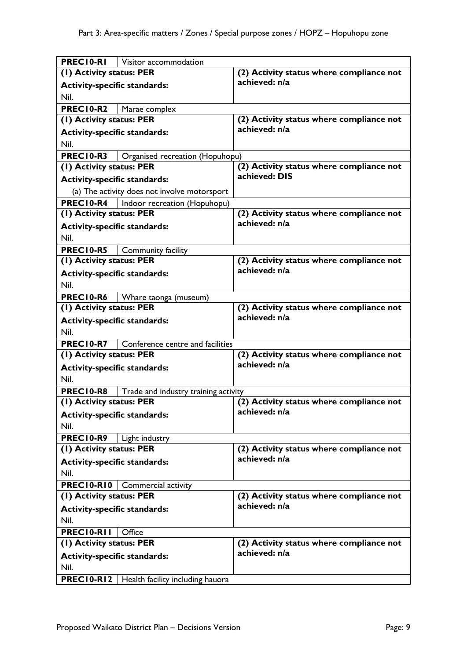| PRECI0-RI                           | Visitor accommodation                        |                                          |
|-------------------------------------|----------------------------------------------|------------------------------------------|
| (1) Activity status: PER            |                                              | (2) Activity status where compliance not |
| <b>Activity-specific standards:</b> |                                              | achieved: n/a                            |
| Nil.                                |                                              |                                          |
| PREC10-R2                           | Marae complex                                |                                          |
| (1) Activity status: PER            |                                              | (2) Activity status where compliance not |
| <b>Activity-specific standards:</b> |                                              | achieved: n/a                            |
| Nil.                                |                                              |                                          |
| <b>PREC10-R3</b>                    | Organised recreation (Hopuhopu)              |                                          |
| (1) Activity status: PER            |                                              | (2) Activity status where compliance not |
| <b>Activity-specific standards:</b> |                                              | achieved: DIS                            |
|                                     | (a) The activity does not involve motorsport |                                          |
| PREC10-R4                           | Indoor recreation (Hopuhopu)                 |                                          |
| (1) Activity status: PER            |                                              | (2) Activity status where compliance not |
| <b>Activity-specific standards:</b> |                                              | achieved: n/a                            |
| Nil.                                |                                              |                                          |
| PREC10-R5                           | Community facility                           |                                          |
| (1) Activity status: PER            |                                              | (2) Activity status where compliance not |
| <b>Activity-specific standards:</b> |                                              | achieved: n/a                            |
| Nil.                                |                                              |                                          |
| PREC10-R6                           | Whare taonga (museum)                        |                                          |
| (1) Activity status: PER            |                                              | (2) Activity status where compliance not |
| <b>Activity-specific standards:</b> |                                              | achieved: n/a                            |
| Nil.                                |                                              |                                          |
| PREC10-R7                           | Conference centre and facilities             |                                          |
| (1) Activity status: PER            |                                              | (2) Activity status where compliance not |
| <b>Activity-specific standards:</b> |                                              | achieved: n/a                            |
| Nil.                                |                                              |                                          |
| PREC10-R8                           | Trade and industry training activity         |                                          |
| (I) Activity status: PER            |                                              | (2) Activity status where compliance not |
| <b>Activity-specific standards:</b> |                                              | achieved: n/a                            |
| Nil.                                |                                              |                                          |
| PREC10-R9                           | Light industry                               |                                          |
| (1) Activity status: PER            |                                              | (2) Activity status where compliance not |
| <b>Activity-specific standards:</b> |                                              | achieved: n/a                            |
| Nil.                                |                                              |                                          |
| <b>PREC10-R10</b>                   | Commercial activity                          |                                          |
| (1) Activity status: PER            |                                              | (2) Activity status where compliance not |
| <b>Activity-specific standards:</b> |                                              | achieved: n/a                            |
| Nil.                                |                                              |                                          |
| PRECIO-RII                          | Office                                       |                                          |
| (1) Activity status: PER            |                                              | (2) Activity status where compliance not |
| <b>Activity-specific standards:</b> |                                              | achieved: n/a                            |
| Nil.                                |                                              |                                          |
| <b>PREC10-R12</b>                   | Health facility including hauora             |                                          |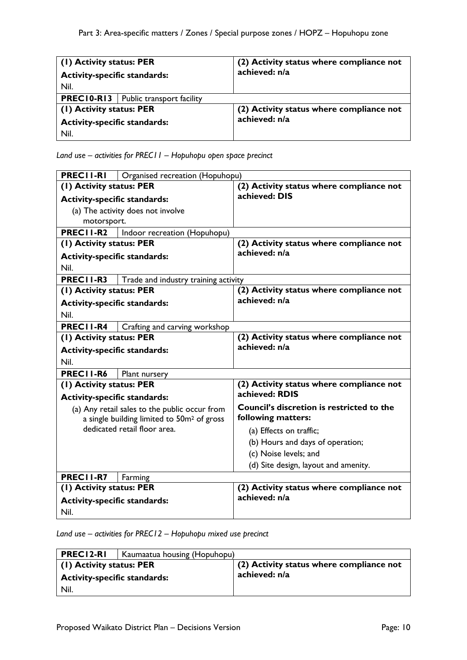| (1) Activity status: PER                      | (2) Activity status where compliance not                  |
|-----------------------------------------------|-----------------------------------------------------------|
| <b>Activity-specific standards:</b>           | achieved: n/a                                             |
| Nil.                                          |                                                           |
| <b>PREC10-R13</b>   Public transport facility |                                                           |
| (1) Activity status: PER                      | (2) Activity status where compliance not<br>achieved: n/a |
| <b>Activity-specific standards:</b>           |                                                           |
| Nil.                                          |                                                           |

*Land use – activities for PREC11 – Hopuhopu open space precinct*

| <b>PRECII-RI</b>                    | Organised recreation (Hopuhopu)                        |                                                  |
|-------------------------------------|--------------------------------------------------------|--------------------------------------------------|
| (1) Activity status: PER            |                                                        | (2) Activity status where compliance not         |
| <b>Activity-specific standards:</b> |                                                        | achieved: DIS                                    |
|                                     | (a) The activity does not involve                      |                                                  |
| motorsport.                         |                                                        |                                                  |
| PRECII-R2                           | Indoor recreation (Hopuhopu)                           |                                                  |
| (1) Activity status: PER            |                                                        | (2) Activity status where compliance not         |
| <b>Activity-specific standards:</b> |                                                        | achieved: n/a                                    |
| Nil.                                |                                                        |                                                  |
| PRECII-R3                           | Trade and industry training activity                   |                                                  |
| (1) Activity status: PER            |                                                        | (2) Activity status where compliance not         |
| <b>Activity-specific standards:</b> |                                                        | achieved: n/a                                    |
| Nil.                                |                                                        |                                                  |
| PRECII-R4                           | Crafting and carving workshop                          |                                                  |
| (1) Activity status: PER            |                                                        | (2) Activity status where compliance not         |
| <b>Activity-specific standards:</b> |                                                        | achieved: n/a                                    |
| Nil.                                |                                                        |                                                  |
| PRECII-R6                           | Plant nursery                                          |                                                  |
| (1) Activity status: PER            |                                                        | (2) Activity status where compliance not         |
| <b>Activity-specific standards:</b> |                                                        | achieved: RDIS                                   |
|                                     | (a) Any retail sales to the public occur from          | <b>Council's discretion is restricted to the</b> |
|                                     | a single building limited to 50m <sup>2</sup> of gross | following matters:                               |
|                                     | dedicated retail floor area.                           | (a) Effects on traffic;                          |
|                                     |                                                        | (b) Hours and days of operation;                 |
|                                     |                                                        | (c) Noise levels; and                            |
|                                     |                                                        | (d) Site design, layout and amenity.             |
| <b>PREC11-R7</b>                    | Farming                                                |                                                  |
| (1) Activity status: PER            |                                                        | (2) Activity status where compliance not         |
| <b>Activity-specific standards:</b> |                                                        | achieved: n/a                                    |
| Nil.                                |                                                        |                                                  |

*Land use – activities for PREC12 – Hopuhopu mixed use precinct*

| PREC12-RI                           | Kaumaatua housing (Hopuhopu) |                                          |
|-------------------------------------|------------------------------|------------------------------------------|
| (1) Activity status: PER            |                              | (2) Activity status where compliance not |
| <b>Activity-specific standards:</b> |                              | achieved: n/a                            |
| Nil.                                |                              |                                          |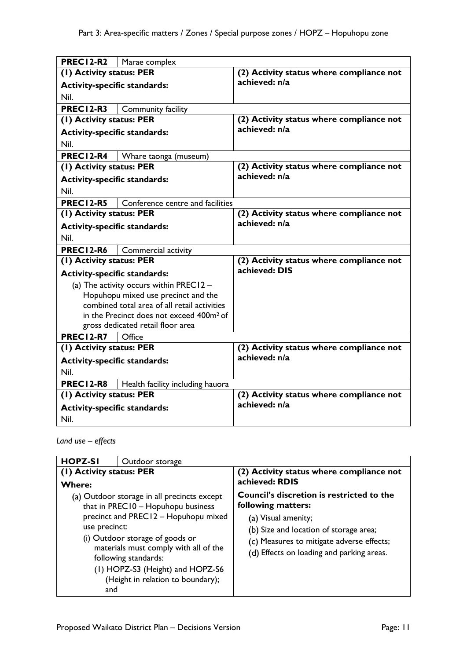| <b>PREC12-R2</b><br>Marae complex                    |                                          |
|------------------------------------------------------|------------------------------------------|
| (1) Activity status: PER                             | (2) Activity status where compliance not |
| <b>Activity-specific standards:</b>                  | achieved: n/a                            |
| Nil.                                                 |                                          |
| PREC12-R3<br>Community facility                      |                                          |
| (1) Activity status: PER                             | (2) Activity status where compliance not |
| <b>Activity-specific standards:</b>                  | achieved: n/a                            |
| Nil.                                                 |                                          |
| <b>PREC12-R4</b><br>Whare taonga (museum)            |                                          |
| (1) Activity status: PER                             | (2) Activity status where compliance not |
| <b>Activity-specific standards:</b>                  | achieved: n/a                            |
| Nil.                                                 |                                          |
| <b>PREC12-R5</b><br>Conference centre and facilities |                                          |
| (1) Activity status: PER                             | (2) Activity status where compliance not |
| <b>Activity-specific standards:</b>                  | achieved: n/a                            |
| Nil.                                                 |                                          |
| PREC12-R6<br>Commercial activity                     |                                          |
| (1) Activity status: PER                             | (2) Activity status where compliance not |
| <b>Activity-specific standards:</b>                  | achieved: DIS                            |
| (a) The activity occurs within PREC12 $-$            |                                          |
| Hopuhopu mixed use precinct and the                  |                                          |
| combined total area of all retail activities         |                                          |
| in the Precinct does not exceed 400m <sup>2</sup> of |                                          |
| gross dedicated retail floor area                    |                                          |
| <b>PREC12-R7</b><br>Office                           |                                          |
| (I) Activity status: PER                             | (2) Activity status where compliance not |
| <b>Activity-specific standards:</b>                  | achieved: n/a                            |
| Nil.                                                 |                                          |
| PREC12-R8<br>Health facility including hauora        |                                          |
| (1) Activity status: PER                             | (2) Activity status where compliance not |
| <b>Activity-specific standards:</b>                  | achieved: n/a                            |
| Nil.                                                 |                                          |

*Land use – effects*

| <b>HOPZ-SI</b>                            | Outdoor storage                                                                                                                                                                                                                                                                                        |                                                                                                                                                                                                                                   |
|-------------------------------------------|--------------------------------------------------------------------------------------------------------------------------------------------------------------------------------------------------------------------------------------------------------------------------------------------------------|-----------------------------------------------------------------------------------------------------------------------------------------------------------------------------------------------------------------------------------|
| (1) Activity status: PER<br><b>Where:</b> |                                                                                                                                                                                                                                                                                                        | (2) Activity status where compliance not<br>achieved: RDIS                                                                                                                                                                        |
| use precinct:<br>and                      | (a) Outdoor storage in all precincts except<br>that in PREC10 - Hopuhopu business<br>precinct and PREC12 - Hopuhopu mixed<br>(i) Outdoor storage of goods or<br>materials must comply with all of the<br>following standards:<br>(1) HOPZ-S3 (Height) and HOPZ-S6<br>(Height in relation to boundary); | <b>Council's discretion is restricted to the</b><br>following matters:<br>(a) Visual amenity;<br>(b) Size and location of storage area;<br>(c) Measures to mitigate adverse effects;<br>(d) Effects on loading and parking areas. |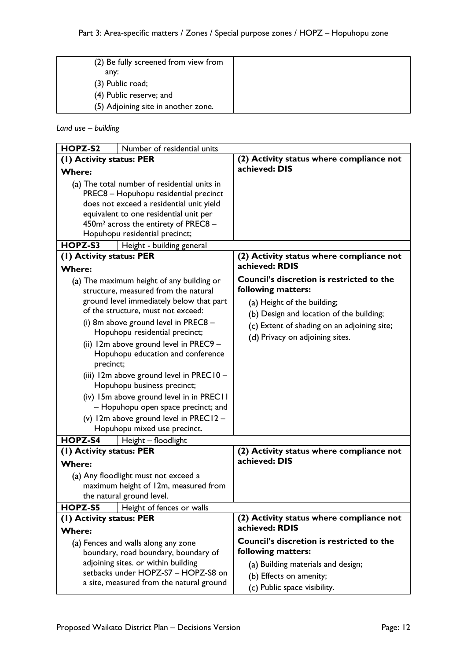| (2) Be fully screened from view from |  |
|--------------------------------------|--|
| any:                                 |  |
| $(3)$ Public road;                   |  |
| (4) Public reserve; and              |  |
| (5) Adjoining site in another zone.  |  |
|                                      |  |

### *Land use – building*

| HOPZ-S2                                                                                                                                                                                                  | Number of residential units |                                                                                                                            |
|----------------------------------------------------------------------------------------------------------------------------------------------------------------------------------------------------------|-----------------------------|----------------------------------------------------------------------------------------------------------------------------|
| (1) Activity status: PER                                                                                                                                                                                 |                             | (2) Activity status where compliance not                                                                                   |
| <b>Where:</b>                                                                                                                                                                                            |                             | achieved: DIS                                                                                                              |
| (a) The total number of residential units in<br>PREC8 - Hopuhopu residential precinct                                                                                                                    |                             |                                                                                                                            |
| does not exceed a residential unit yield                                                                                                                                                                 |                             |                                                                                                                            |
| equivalent to one residential unit per                                                                                                                                                                   |                             |                                                                                                                            |
| 450m <sup>2</sup> across the entirety of PREC8 -                                                                                                                                                         |                             |                                                                                                                            |
| Hopuhopu residential precinct;                                                                                                                                                                           |                             |                                                                                                                            |
| HOPZ-S3                                                                                                                                                                                                  | Height - building general   | (2) Activity status where compliance not                                                                                   |
| (I) Activity status: PER                                                                                                                                                                                 |                             | achieved: RDIS                                                                                                             |
| <b>Where:</b><br>(a) The maximum height of any building or<br>structure, measured from the natural<br>ground level immediately below that part                                                           |                             | <b>Council's discretion is restricted to the</b><br>following matters:<br>(a) Height of the building;                      |
| of the structure, must not exceed:<br>(i) 8m above ground level in PREC8 -<br>Hopuhopu residential precinct;<br>(ii) 12m above ground level in PREC9 -<br>Hopuhopu education and conference<br>precinct; |                             | (b) Design and location of the building;<br>(c) Extent of shading on an adjoining site;<br>(d) Privacy on adjoining sites. |
| (iii) 12m above ground level in PREC10 -<br>Hopuhopu business precinct;<br>(iv) 15m above ground level in in PREC11<br>- Hopuhopu open space precinct; and                                               |                             |                                                                                                                            |
| (v) 12m above ground level in PREC12 -<br>Hopuhopu mixed use precinct.                                                                                                                                   |                             |                                                                                                                            |
| HOPZ-S4                                                                                                                                                                                                  | Height - floodlight         |                                                                                                                            |
| (1) Activity status: PER<br><b>Where:</b>                                                                                                                                                                |                             | (2) Activity status where compliance not<br>achieved: DIS                                                                  |
| (a) Any floodlight must not exceed a<br>maximum height of 12m, measured from<br>the natural ground level.                                                                                                |                             |                                                                                                                            |
| HOPZ-S5                                                                                                                                                                                                  | Height of fences or walls   |                                                                                                                            |
| (I) Activity status: PER<br><b>Where:</b>                                                                                                                                                                |                             | (2) Activity status where compliance not<br>achieved: RDIS                                                                 |
| (a) Fences and walls along any zone<br>boundary, road boundary, boundary of<br>adjoining sites. or within building<br>setbacks under HOPZ-S7 - HOPZ-S8 on                                                |                             | Council's discretion is restricted to the<br>following matters:<br>(a) Building materials and design;                      |
| a site, measured from the natural ground                                                                                                                                                                 |                             | (b) Effects on amenity;<br>(c) Public space visibility.                                                                    |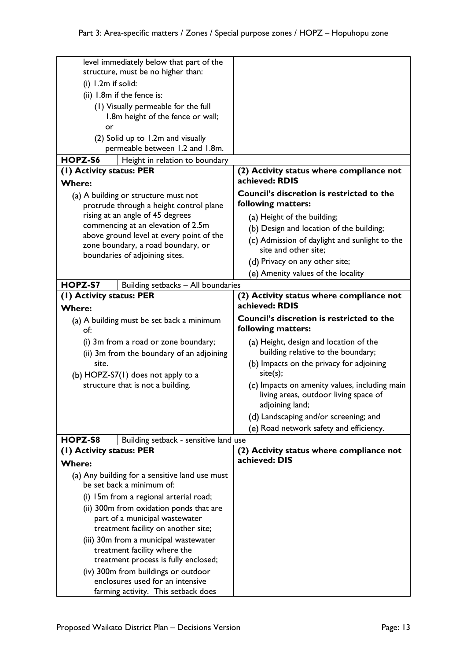| level immediately below that part of the                                        |                                          |                                                                                                           |
|---------------------------------------------------------------------------------|------------------------------------------|-----------------------------------------------------------------------------------------------------------|
| structure, must be no higher than:                                              |                                          |                                                                                                           |
| (i) 1.2m if solid:                                                              |                                          |                                                                                                           |
| (ii) 1.8m if the fence is:                                                      |                                          |                                                                                                           |
| (1) Visually permeable for the full                                             |                                          |                                                                                                           |
| 1.8m height of the fence or wall;                                               |                                          |                                                                                                           |
| or                                                                              |                                          |                                                                                                           |
| (2) Solid up to 1.2m and visually                                               |                                          |                                                                                                           |
|                                                                                 | permeable between 1.2 and 1.8m.          |                                                                                                           |
| HOPZ-S6                                                                         | Height in relation to boundary           |                                                                                                           |
| (1) Activity status: PER                                                        |                                          | (2) Activity status where compliance not                                                                  |
| <b>Where:</b>                                                                   |                                          | achieved: RDIS                                                                                            |
| (a) A building or structure must not<br>protrude through a height control plane |                                          | <b>Council's discretion is restricted to the</b><br>following matters:                                    |
| rising at an angle of 45 degrees                                                |                                          | (a) Height of the building;                                                                               |
| commencing at an elevation of 2.5m                                              |                                          | (b) Design and location of the building;                                                                  |
|                                                                                 | above ground level at every point of the | (c) Admission of daylight and sunlight to the                                                             |
| zone boundary, a road boundary, or                                              |                                          | site and other site;                                                                                      |
|                                                                                 | boundaries of adjoining sites.           | (d) Privacy on any other site;                                                                            |
|                                                                                 |                                          | (e) Amenity values of the locality                                                                        |
| HOPZ-S7                                                                         | Building setbacks - All boundaries       |                                                                                                           |
| (1) Activity status: PER                                                        |                                          | (2) Activity status where compliance not                                                                  |
| <b>Where:</b>                                                                   |                                          | achieved: RDIS                                                                                            |
|                                                                                 |                                          | Council's discretion is restricted to the                                                                 |
| (a) A building must be set back a minimum<br>of:                                |                                          | following matters:                                                                                        |
| (i) 3m from a road or zone boundary;                                            |                                          | (a) Height, design and location of the                                                                    |
| (ii) 3m from the boundary of an adjoining                                       |                                          | building relative to the boundary;                                                                        |
| site.                                                                           |                                          | (b) Impacts on the privacy for adjoining                                                                  |
| (b) HOPZ-S7(1) does not apply to a                                              |                                          | site(s);                                                                                                  |
| structure that is not a building.                                               |                                          | (c) Impacts on amenity values, including main<br>living areas, outdoor living space of<br>adjoining land; |
|                                                                                 |                                          | (d) Landscaping and/or screening; and                                                                     |
|                                                                                 |                                          | (e) Road network safety and efficiency.                                                                   |
| HOPZ-S8                                                                         | Building setback - sensitive land use    |                                                                                                           |
| (1) Activity status: PER                                                        |                                          | (2) Activity status where compliance not                                                                  |
| <b>Where:</b>                                                                   |                                          | achieved: DIS                                                                                             |
| (a) Any building for a sensitive land use must<br>be set back a minimum of:     |                                          |                                                                                                           |
| (i) 15m from a regional arterial road;                                          |                                          |                                                                                                           |
| (ii) 300m from oxidation ponds that are                                         |                                          |                                                                                                           |
| part of a municipal wastewater                                                  |                                          |                                                                                                           |
| treatment facility on another site;                                             |                                          |                                                                                                           |
| (iii) 30m from a municipal wastewater                                           |                                          |                                                                                                           |
| treatment facility where the                                                    |                                          |                                                                                                           |
| treatment process is fully enclosed;                                            |                                          |                                                                                                           |
| (iv) 300m from buildings or outdoor                                             |                                          |                                                                                                           |
| enclosures used for an intensive                                                |                                          |                                                                                                           |
| farming activity. This setback does                                             |                                          |                                                                                                           |